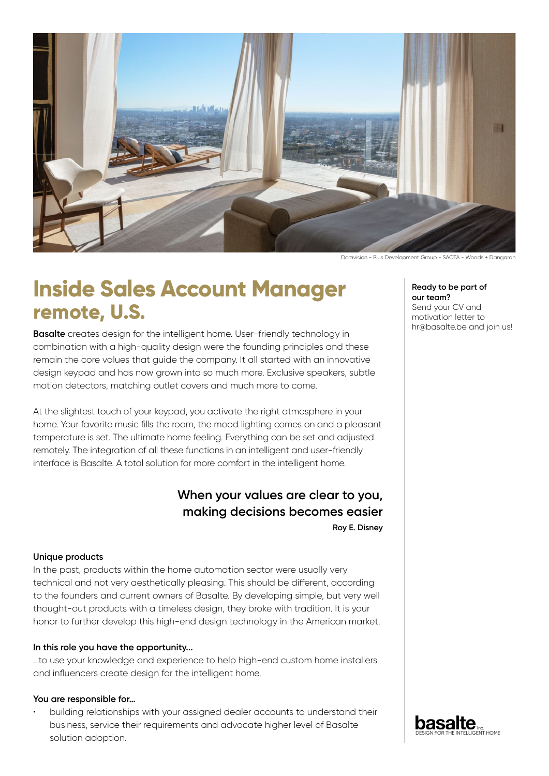

Domvision - Plus Development Group - SAOTA - Woods + Dangaran

# **Inside Sales Account Manager remote, U.S.**

**Basalte** creates design for the intelligent home. User-friendly technology in combination with a high-quality design were the founding principles and these remain the core values that guide the company. It all started with an innovative design keypad and has now grown into so much more. Exclusive speakers, subtle motion detectors, matching outlet covers and much more to come.

At the slightest touch of your keypad, you activate the right atmosphere in your home. Your favorite music fills the room, the mood lighting comes on and a pleasant temperature is set. The ultimate home feeling. Everything can be set and adjusted remotely. The integration of all these functions in an intelligent and user-friendly interface is Basalte. A total solution for more comfort in the intelligent home.

# **When your values are clear to you, making decisions becomes easier**

**Roy E. Disney**

#### **Unique products**

In the past, products within the home automation sector were usually very technical and not very aesthetically pleasing. This should be different, according to the founders and current owners of Basalte. By developing simple, but very well thought-out products with a timeless design, they broke with tradition. It is your honor to further develop this high-end design technology in the American market.

#### **In this role you have the opportunity...**

...to use your knowledge and experience to help high-end custom home installers and influencers create design for the intelligent home.

#### **You are responsible for…**

• building relationships with your assigned dealer accounts to understand their business, service their requirements and advocate higher level of Basalte solution adoption.

**Ready to be part of our team?** Send your CV and motivation letter to hr@basalte.be and join us!